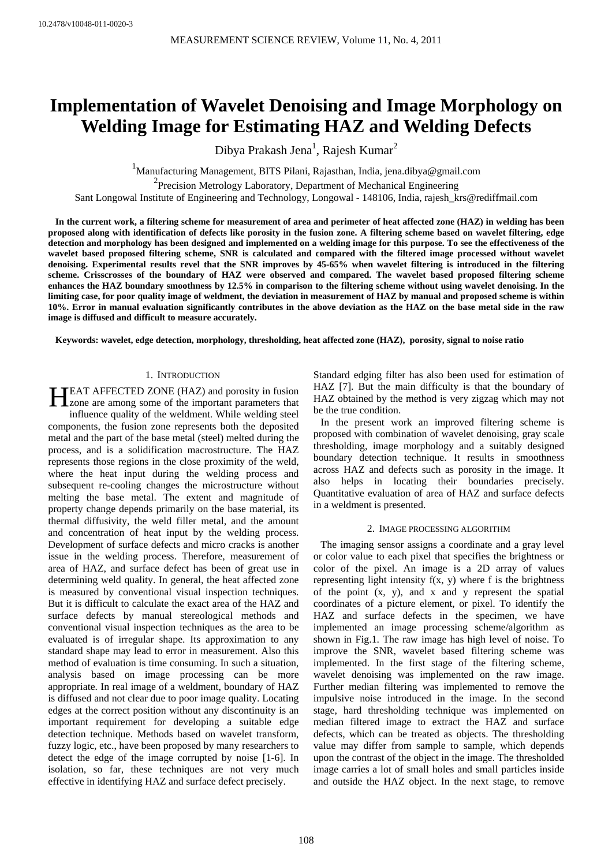# **Implementation of Wavelet Denoising and Image Morphology on Welding Image for Estimating HAZ and Welding Defects**

Dibya Prakash Jena $^{\rm l}$ , Rajesh Kumar $^{\rm 2}$ 

<sup>1</sup>Manufacturing Management, BITS Pilani, Rajasthan, India, jena.dibya@gmail.com

<sup>2</sup> Precision Metrology Laboratory, Department of Mechanical Engineering

Sant Longowal Institute of Engineering and Technology, Longowal - 148106, India, rajesh krs@rediffmail.com

**In the current work, a filtering scheme for measurement of area and perimeter of heat affected zone (HAZ) in welding has been proposed along with identification of defects like porosity in the fusion zone. A filtering scheme based on wavelet filtering, edge detection and morphology has been designed and implemented on a welding image for this purpose. To see the effectiveness of the wavelet based proposed filtering scheme, SNR is calculated and compared with the filtered image processed without wavelet denoising. Experimental results revel that the SNR improves by 45-65% when wavelet filtering is introduced in the filtering scheme. Crisscrosses of the boundary of HAZ were observed and compared. The wavelet based proposed filtering scheme enhances the HAZ boundary smoothness by 12.5% in comparison to the filtering scheme without using wavelet denoising. In the limiting case, for poor quality image of weldment, the deviation in measurement of HAZ by manual and proposed scheme is within 10%. Error in manual evaluation significantly contributes in the above deviation as the HAZ on the base metal side in the raw image is diffused and difficult to measure accurately.** 

**Keywords: wavelet, edge detection, morphology, thresholding, heat affected zone (HAZ), porosity, signal to noise ratio** 

# 1. INTRODUCTION

**TEAT AFFECTED ZONE (HAZ) and porosity in fusion HEAT AFFECTED ZONE (HAZ) and porosity in fusion**<br>zone are among some of the important parameters that influence quality of the weldment. While welding steel components, the fusion zone represents both the deposited metal and the part of the base metal (steel) melted during the process, and is a solidification macrostructure. The HAZ represents those regions in the close proximity of the weld, where the heat input during the welding process and subsequent re-cooling changes the microstructure without melting the base metal. The extent and magnitude of property change depends primarily on the base material, its thermal diffusivity, the weld filler metal, and the amount and concentration of heat input by the welding process. Development of surface defects and micro cracks is another issue in the welding process. Therefore, measurement of area of HAZ, and surface defect has been of great use in determining weld quality. In general, the heat affected zone is measured by conventional visual inspection techniques. But it is difficult to calculate the exact area of the HAZ and surface defects by manual stereological methods and conventional visual inspection techniques as the area to be evaluated is of irregular shape. Its approximation to any standard shape may lead to error in measurement. Also this method of evaluation is time consuming. In such a situation, analysis based on image processing can be more appropriate. In real image of a weldment, boundary of HAZ is diffused and not clear due to poor image quality. Locating edges at the correct position without any discontinuity is an important requirement for developing a suitable edge detection technique. Methods based on wavelet transform, fuzzy logic, etc., have been proposed by many researchers to detect the edge of the image corrupted by noise [1-6]. In isolation, so far, these techniques are not very much effective in identifying HAZ and surface defect precisely.

Standard edging filter has also been used for estimation of HAZ [7]. But the main difficulty is that the boundary of HAZ obtained by the method is very zigzag which may not be the true condition.

In the present work an improved filtering scheme is proposed with combination of wavelet denoising, gray scale thresholding, image morphology and a suitably designed boundary detection technique. It results in smoothness across HAZ and defects such as porosity in the image. It also helps in locating their boundaries precisely. Quantitative evaluation of area of HAZ and surface defects in a weldment is presented.

#### 2. IMAGE PROCESSING ALGORITHM

The imaging sensor assigns a coordinate and a gray level or color value to each pixel that specifies the brightness or color of the pixel. An image is a 2D array of values representing light intensity  $f(x, y)$  where f is the brightness of the point  $(x, y)$ , and x and y represent the spatial coordinates of a picture element, or pixel. To identify the HAZ and surface defects in the specimen, we have implemented an image processing scheme/algorithm as shown in Fig.1. The raw image has high level of noise. To improve the SNR, wavelet based filtering scheme was implemented. In the first stage of the filtering scheme, wavelet denoising was implemented on the raw image. Further median filtering was implemented to remove the impulsive noise introduced in the image. In the second stage, hard thresholding technique was implemented on median filtered image to extract the HAZ and surface defects, which can be treated as objects. The thresholding value may differ from sample to sample, which depends upon the contrast of the object in the image. The thresholded image carries a lot of small holes and small particles inside and outside the HAZ object. In the next stage, to remove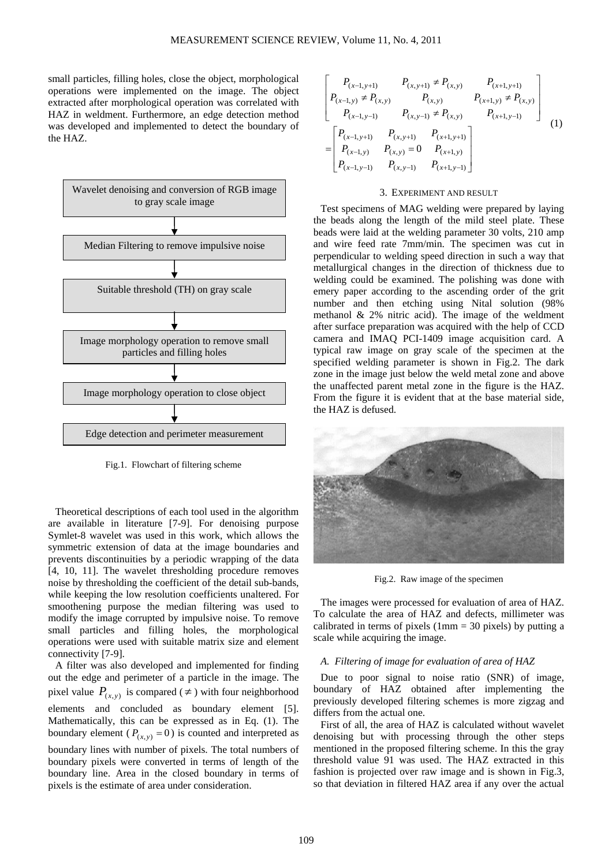small particles, filling holes, close the object, morphological operations were implemented on the image. The object extracted after morphological operation was correlated with HAZ in weldment. Furthermore, an edge detection method was developed and implemented to detect the boundary of the HAZ.



Fig.1. Flowchart of filtering scheme

Theoretical descriptions of each tool used in the algorithm are available in literature [7-9]. For denoising purpose Symlet-8 wavelet was used in this work, which allows the symmetric extension of data at the image boundaries and prevents discontinuities by a periodic wrapping of the data [4, 10, 11]. The wavelet thresholding procedure removes noise by thresholding the coefficient of the detail sub-bands, while keeping the low resolution coefficients unaltered. For smoothening purpose the median filtering was used to modify the image corrupted by impulsive noise. To remove small particles and filling holes, the morphological operations were used with suitable matrix size and element connectivity [7-9].

A filter was also developed and implemented for finding out the edge and perimeter of a particle in the image. The pixel value  $P_{(x,y)}$  is compared ( $\neq$ ) with four neighborhood elements and concluded as boundary element [5]. Mathematically, this can be expressed as in Eq. (1). The boundary element ( $P_{(x, y)} = 0$ ) is counted and interpreted as boundary lines with number of pixels. The total numbers of boundary pixels were converted in terms of length of the boundary line. Area in the closed boundary in terms of pixels is the estimate of area under consideration.

$$
\begin{bmatrix}\nP_{(x-1,y+1)} & P_{(x,y+1)} \neq P_{(x,y)} & P_{(x+1,y+1)} \\
P_{(x-1,y)} \neq P_{(x,y)} & P_{(x,y)} & P_{(x+1,y)} \neq P_{(x,y)} \\
P_{(x-1,y-1)} & P_{(x,y-1)} \neq P_{(x,y)} & P_{(x+1,y-1)} \\
P_{(x-1,y+1)} & P_{(x,y+1)} & P_{(x+1,y+1)} \\
P_{(x-1,y-1)} & P_{(x,y-1)} & P_{(x+1,y-1)}\n\end{bmatrix}
$$
\n(1)

#### 3. EXPERIMENT AND RESULT

Test specimens of MAG welding were prepared by laying the beads along the length of the mild steel plate. These beads were laid at the welding parameter 30 volts, 210 amp and wire feed rate 7mm/min. The specimen was cut in perpendicular to welding speed direction in such a way that metallurgical changes in the direction of thickness due to welding could be examined. The polishing was done with emery paper according to the ascending order of the grit number and then etching using Nital solution (98% methanol  $\&$  2% nitric acid). The image of the weldment after surface preparation was acquired with the help of CCD camera and IMAQ PCI-1409 image acquisition card. A typical raw image on gray scale of the specimen at the specified welding parameter is shown in Fig.2. The dark zone in the image just below the weld metal zone and above the unaffected parent metal zone in the figure is the HAZ. From the figure it is evident that at the base material side, the HAZ is defused.



Fig.2. Raw image of the specimen

The images were processed for evaluation of area of HAZ. To calculate the area of HAZ and defects, millimeter was calibrated in terms of pixels  $(1mm = 30$  pixels) by putting a scale while acquiring the image.

#### *A. Filtering of image for evaluation of area of HAZ*

Due to poor signal to noise ratio (SNR) of image, boundary of HAZ obtained after implementing the previously developed filtering schemes is more zigzag and differs from the actual one.

First of all, the area of HAZ is calculated without wavelet denoising but with processing through the other steps mentioned in the proposed filtering scheme. In this the gray threshold value 91 was used. The HAZ extracted in this fashion is projected over raw image and is shown in Fig.3, so that deviation in filtered HAZ area if any over the actual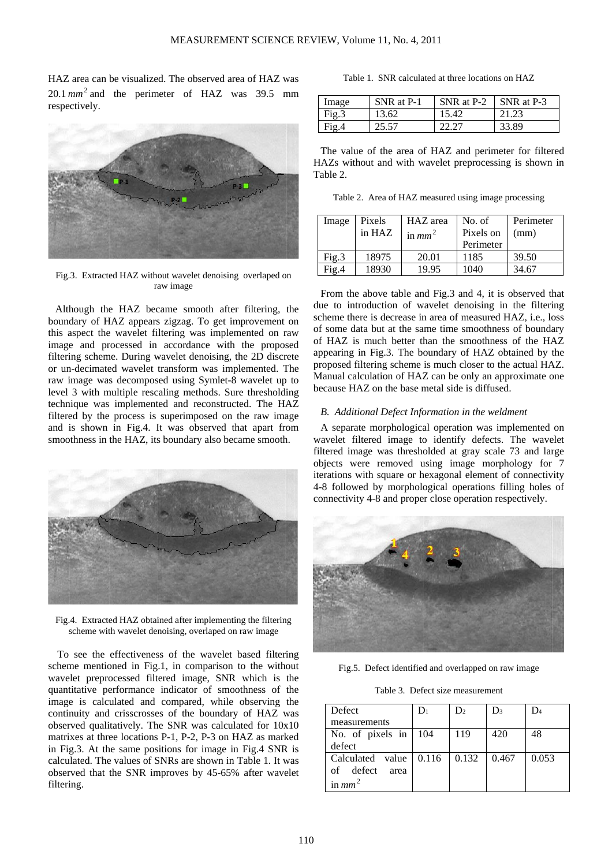HAZ area can be visualized. The observed area of HAZ was  $20.1 \, \text{mm}^2$  and the perimeter of HAZ was 39.5 mm respectively.



Fig.3. Extracted HAZ without wavelet denoising overlaped on raw image

Although the HAZ became smooth after filtering, the boundary of HAZ appears zigzag. To get improvement on this aspect the wavelet filtering was implemented on raw image and processed in accordance with the proposed filtering scheme. During wavelet denoising, the 2D discrete or un-decimated wavelet transform was implemented. The raw image was decomposed using Symlet-8 wavelet up to level 3 with multiple rescaling methods. Sure thresholding technique was implemented and reconstructed. The HAZ filtered by the process is superimposed on the raw image and is shown in Fig.4. It was observed that apart from smoothness in the HAZ, its boundary also became smooth.



Fig.4. Extracted HAZ obtained after implementing the filtering scheme with wavelet denoising, overlaped on raw image

To see the effectiveness of the wavelet based filtering scheme mentioned in Fig.1, in comparison to the without wavelet preprocessed filtered image, SNR which is the quantitative performance indicator of smoothness of the image is calculated and compared, while observing the continuity and crisscrosses of the boundary of HAZ was observed qualitatively. The SNR was calculated for 10x10 matrixes at three locations P-1, P-2, P-3 on HAZ as marked in Fig.3. At the same positions for image in Fig.4 SNR is calculated. The values of SNRs are shown in Table 1. It was observed that the SNR improves by 45-65% after wavelet filtering.

Table 1. SNR calculated at three locations on HAZ

| Image | SNR at P-1 | $SNR$ at P-2 | SNR at P-3 |
|-------|------------|--------------|------------|
| Fig.3 | 13.62      | 15.42        | 21.23      |
| Fig.4 | 25.57      | 22.27        | 33.89      |

The value of the area of HAZ and perimeter for filtered HAZs without and with wavelet preprocessing is shown in Table 2.

Table 2. Area of HAZ measured using image processing

| Image | Pixels | HAZ area | No. of    | Perimeter |
|-------|--------|----------|-----------|-----------|
|       | in HAZ | in $mm2$ | Pixels on | (mm)      |
|       |        |          | Perimeter |           |
| Fig.3 | 18975  | 20.01    | 1185      | 39.50     |
| Fig.4 | 18930  | 19.95    | 1040      | 34.67     |

From the above table and Fig.3 and 4, it is observed that due to introduction of wavelet denoising in the filtering scheme there is decrease in area of measured HAZ, i.e., loss of some data but at the same time smoothness of boundary of HAZ is much better than the smoothness of the HAZ appearing in Fig.3. The boundary of HAZ obtained by the proposed filtering scheme is much closer to the actual HAZ. Manual calculation of HAZ can be only an approximate one because HAZ on the base metal side is diffused.

# *B. Additional Defect Information in the weldment*

A separate morphological operation was implemented on wavelet filtered image to identify defects. The wavelet filtered image was thresholded at gray scale 73 and large objects were removed using image morphology for 7 iterations with square or hexagonal element of connectivity 4-8 followed by morphological operations filling holes of connectivity 4-8 and proper close operation respectively.



Fig.5. Defect identified and overlapped on raw image

Table 3. Defect size measurement

| Defect            | D1    | D <sub>2</sub> | $D_3$ | D <sub>4</sub> |
|-------------------|-------|----------------|-------|----------------|
| measurements      |       |                |       |                |
| No. of pixels in  | 104   | 119            | 420   | 48             |
| defect            |       |                |       |                |
| Calculated value  | 0.116 | 0.132          | 0.467 | 0.053          |
| of defect<br>area |       |                |       |                |
| in $mm2$          |       |                |       |                |